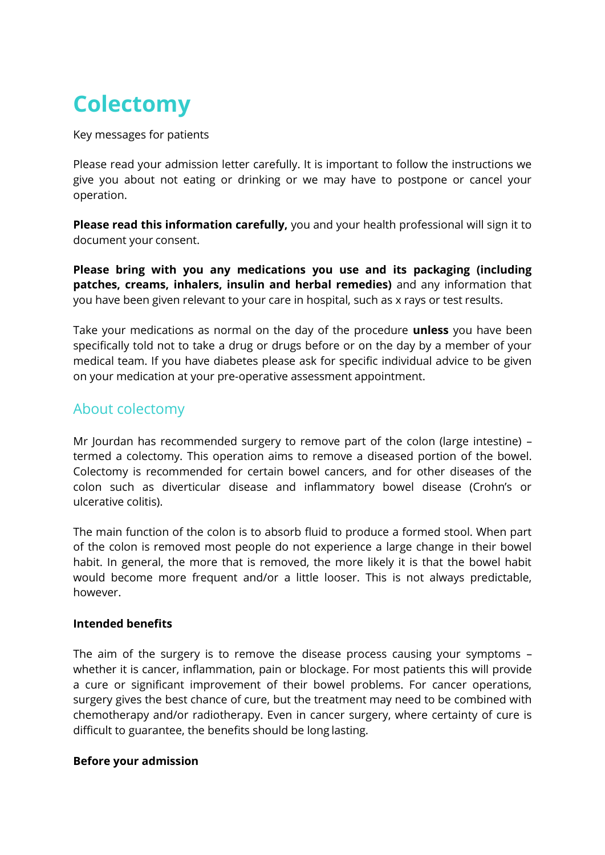# **Colectomy**

Key messages for patients

Please read your admission letter carefully. It is important to follow the instructions we give you about not eating or drinking or we may have to postpone or cancel your operation.

**Please read this information carefully,** you and your health professional will sign it to document your consent.

**Please bring with you any medications you use and its packaging (including patches, creams, inhalers, insulin and herbal remedies)** and any information that you have been given relevant to your care in hospital, such as x rays or test results.

Take your medications as normal on the day of the procedure **unless** you have been specifically told not to take a drug or drugs before or on the day by a member of your medical team. If you have diabetes please ask for specific individual advice to be given on your medication at your pre-operative assessment appointment.

# About colectomy

Mr Jourdan has recommended surgery to remove part of the colon (large intestine) – termed a colectomy. This operation aims to remove a diseased portion of the bowel. Colectomy is recommended for certain bowel cancers, and for other diseases of the colon such as diverticular disease and inflammatory bowel disease (Crohn's or ulcerative colitis).

The main function of the colon is to absorb fluid to produce a formed stool. When part of the colon is removed most people do not experience a large change in their bowel habit. In general, the more that is removed, the more likely it is that the bowel habit would become more frequent and/or a little looser. This is not always predictable, however.

#### **Intended benefits**

The aim of the surgery is to remove the disease process causing your symptoms – whether it is cancer, inflammation, pain or blockage. For most patients this will provide a cure or significant improvement of their bowel problems. For cancer operations, surgery gives the best chance of cure, but the treatment may need to be combined with chemotherapy and/or radiotherapy. Even in cancer surgery, where certainty of cure is difficult to guarantee, the benefits should be long lasting.

#### **Before your admission**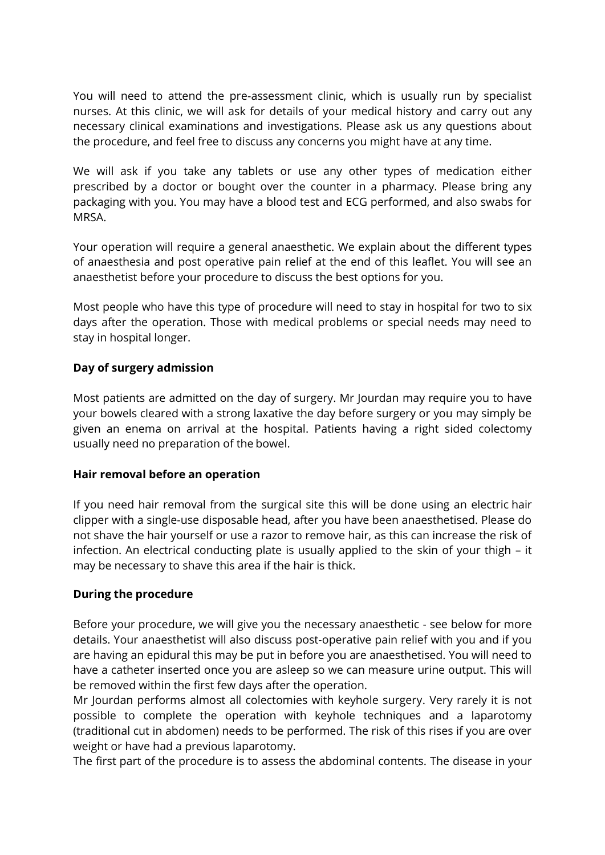You will need to attend the pre-assessment clinic, which is usually run by specialist nurses. At this clinic, we will ask for details of your medical history and carry out any necessary clinical examinations and investigations. Please ask us any questions about the procedure, and feel free to discuss any concerns you might have at any time.

We will ask if you take any tablets or use any other types of medication either prescribed by a doctor or bought over the counter in a pharmacy. Please bring any packaging with you. You may have a blood test and ECG performed, and also swabs for MRSA.

Your operation will require a general anaesthetic. We explain about the different types of anaesthesia and post operative pain relief at the end of this leaflet. You will see an anaesthetist before your procedure to discuss the best options for you.

Most people who have this type of procedure will need to stay in hospital for two to six days after the operation. Those with medical problems or special needs may need to stay in hospital longer.

#### **Day of surgery admission**

Most patients are admitted on the day of surgery. Mr Jourdan may require you to have your bowels cleared with a strong laxative the day before surgery or you may simply be given an enema on arrival at the hospital. Patients having a right sided colectomy usually need no preparation of the bowel.

#### **Hair removal before an operation**

If you need hair removal from the surgical site this will be done using an electric hair clipper with a single-use disposable head, after you have been anaesthetised. Please do not shave the hair yourself or use a razor to remove hair, as this can increase the risk of infection. An electrical conducting plate is usually applied to the skin of your thigh – it may be necessary to shave this area if the hair is thick.

#### **During the procedure**

Before your procedure, we will give you the necessary anaesthetic - see below for more details. Your anaesthetist will also discuss post-operative pain relief with you and if you are having an epidural this may be put in before you are anaesthetised. You will need to have a catheter inserted once you are asleep so we can measure urine output. This will be removed within the first few days after the operation.

Mr Jourdan performs almost all colectomies with keyhole surgery. Very rarely it is not possible to complete the operation with keyhole techniques and a laparotomy (traditional cut in abdomen) needs to be performed. The risk of this rises if you are over weight or have had a previous laparotomy.

The first part of the procedure is to assess the abdominal contents. The disease in your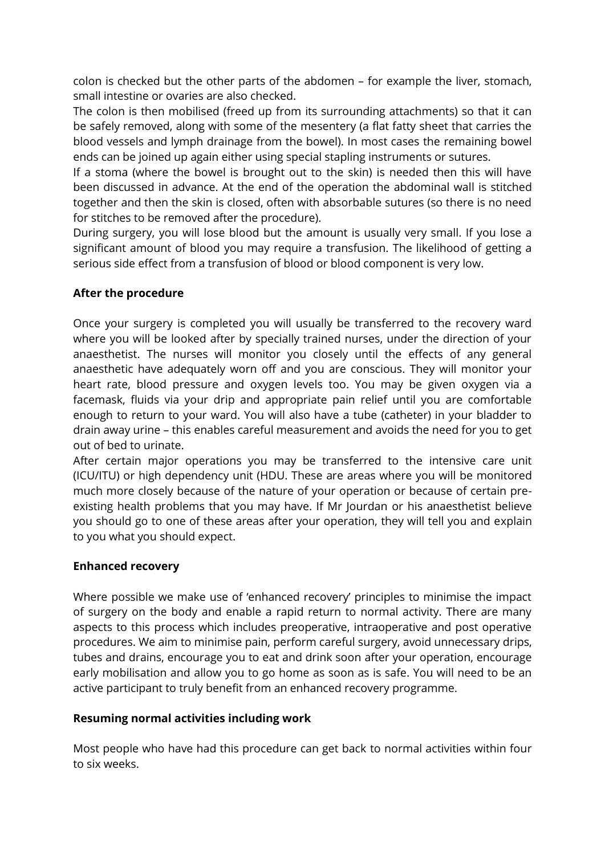colon is checked but the other parts of the abdomen – for example the liver, stomach, small intestine or ovaries are also checked.

The colon is then mobilised (freed up from its surrounding attachments) so that it can be safely removed, along with some of the mesentery (a flat fatty sheet that carries the blood vessels and lymph drainage from the bowel). In most cases the remaining bowel ends can be joined up again either using special stapling instruments or sutures.

If a stoma (where the bowel is brought out to the skin) is needed then this will have been discussed in advance. At the end of the operation the abdominal wall is stitched together and then the skin is closed, often with absorbable sutures (so there is no need for stitches to be removed after the procedure).

During surgery, you will lose blood but the amount is usually very small. If you lose a significant amount of blood you may require a transfusion. The likelihood of getting a serious side effect from a transfusion of blood or blood component is very low.

# **After the procedure**

Once your surgery is completed you will usually be transferred to the recovery ward where you will be looked after by specially trained nurses, under the direction of your anaesthetist. The nurses will monitor you closely until the effects of any general anaesthetic have adequately worn off and you are conscious. They will monitor your heart rate, blood pressure and oxygen levels too. You may be given oxygen via a facemask, fluids via your drip and appropriate pain relief until you are comfortable enough to return to your ward. You will also have a tube (catheter) in your bladder to drain away urine – this enables careful measurement and avoids the need for you to get out of bed to urinate.

After certain major operations you may be transferred to the intensive care unit (ICU/ITU) or high dependency unit (HDU. These are areas where you will be monitored much more closely because of the nature of your operation or because of certain preexisting health problems that you may have. If Mr Jourdan or his anaesthetist believe you should go to one of these areas after your operation, they will tell you and explain to you what you should expect.

#### **Enhanced recovery**

Where possible we make use of 'enhanced recovery' principles to minimise the impact of surgery on the body and enable a rapid return to normal activity. There are many aspects to this process which includes preoperative, intraoperative and post operative procedures. We aim to minimise pain, perform careful surgery, avoid unnecessary drips, tubes and drains, encourage you to eat and drink soon after your operation, encourage early mobilisation and allow you to go home as soon as is safe. You will need to be an active participant to truly benefit from an enhanced recovery programme.

#### **Resuming normal activities including work**

Most people who have had this procedure can get back to normal activities within four to six weeks.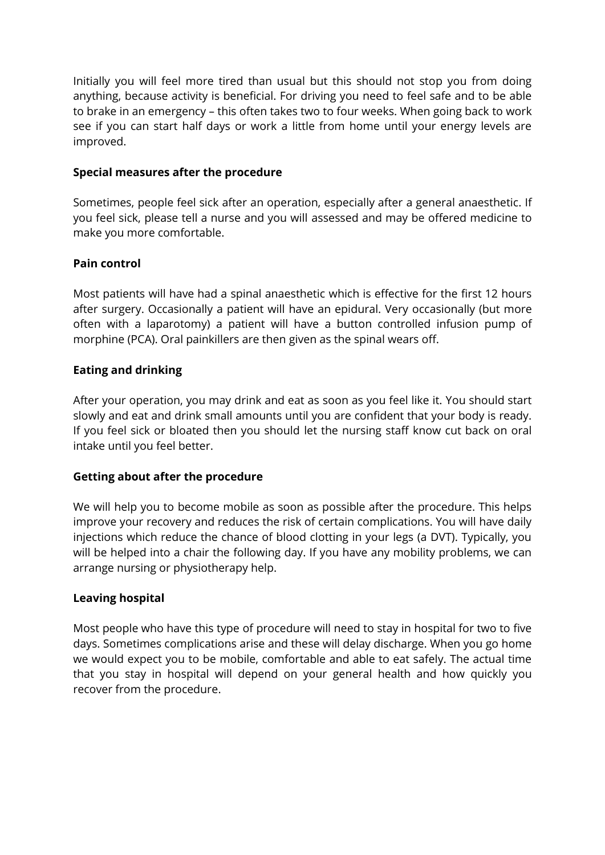Initially you will feel more tired than usual but this should not stop you from doing anything, because activity is beneficial. For driving you need to feel safe and to be able to brake in an emergency – this often takes two to four weeks. When going back to work see if you can start half days or work a little from home until your energy levels are improved.

#### **Special measures after the procedure**

Sometimes, people feel sick after an operation, especially after a general anaesthetic. If you feel sick, please tell a nurse and you will assessed and may be offered medicine to make you more comfortable.

# **Pain control**

Most patients will have had a spinal anaesthetic which is effective for the first 12 hours after surgery. Occasionally a patient will have an epidural. Very occasionally (but more often with a laparotomy) a patient will have a button controlled infusion pump of morphine (PCA). Oral painkillers are then given as the spinal wears off.

# **Eating and drinking**

After your operation, you may drink and eat as soon as you feel like it. You should start slowly and eat and drink small amounts until you are confident that your body is ready. If you feel sick or bloated then you should let the nursing staff know cut back on oral intake until you feel better.

# **Getting about after the procedure**

We will help you to become mobile as soon as possible after the procedure. This helps improve your recovery and reduces the risk of certain complications. You will have daily injections which reduce the chance of blood clotting in your legs (a DVT). Typically, you will be helped into a chair the following day. If you have any mobility problems, we can arrange nursing or physiotherapy help.

# **Leaving hospital**

Most people who have this type of procedure will need to stay in hospital for two to five days. Sometimes complications arise and these will delay discharge. When you go home we would expect you to be mobile, comfortable and able to eat safely. The actual time that you stay in hospital will depend on your general health and how quickly you recover from the procedure.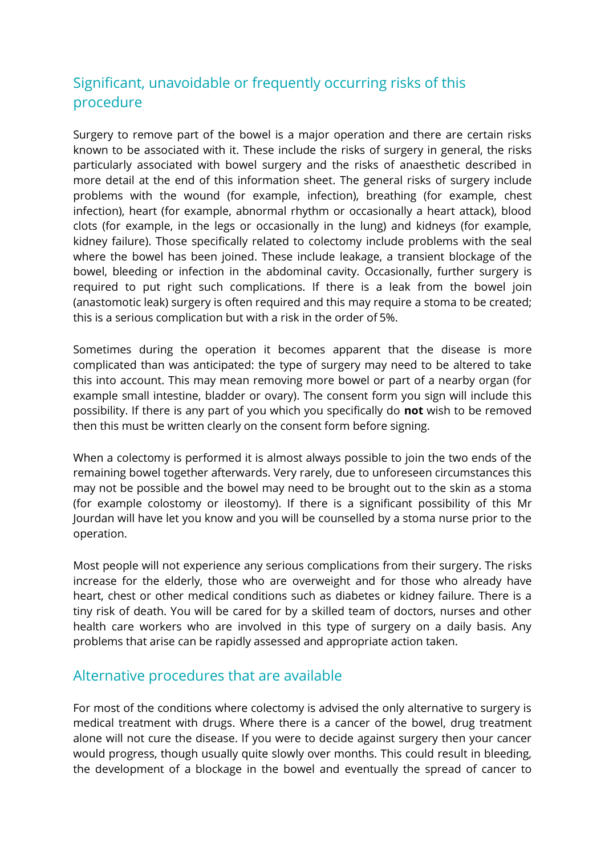# Significant, unavoidable or frequently occurring risks of this procedure

Surgery to remove part of the bowel is a major operation and there are certain risks known to be associated with it. These include the risks of surgery in general, the risks particularly associated with bowel surgery and the risks of anaesthetic described in more detail at the end of this information sheet. The general risks of surgery include problems with the wound (for example, infection), breathing (for example, chest infection), heart (for example, abnormal rhythm or occasionally a heart attack), blood clots (for example, in the legs or occasionally in the lung) and kidneys (for example, kidney failure). Those specifically related to colectomy include problems with the seal where the bowel has been joined. These include leakage, a transient blockage of the bowel, bleeding or infection in the abdominal cavity. Occasionally, further surgery is required to put right such complications. If there is a leak from the bowel join (anastomotic leak) surgery is often required and this may require a stoma to be created; this is a serious complication but with a risk in the order of 5%.

Sometimes during the operation it becomes apparent that the disease is more complicated than was anticipated: the type of surgery may need to be altered to take this into account. This may mean removing more bowel or part of a nearby organ (for example small intestine, bladder or ovary). The consent form you sign will include this possibility. If there is any part of you which you specifically do **not** wish to be removed then this must be written clearly on the consent form before signing.

When a colectomy is performed it is almost always possible to join the two ends of the remaining bowel together afterwards. Very rarely, due to unforeseen circumstances this may not be possible and the bowel may need to be brought out to the skin as a stoma (for example colostomy or ileostomy). If there is a significant possibility of this Mr Jourdan will have let you know and you will be counselled by a stoma nurse prior to the operation.

Most people will not experience any serious complications from their surgery. The risks increase for the elderly, those who are overweight and for those who already have heart, chest or other medical conditions such as diabetes or kidney failure. There is a tiny risk of death. You will be cared for by a skilled team of doctors, nurses and other health care workers who are involved in this type of surgery on a daily basis. Any problems that arise can be rapidly assessed and appropriate action taken.

# Alternative procedures that are available

For most of the conditions where colectomy is advised the only alternative to surgery is medical treatment with drugs. Where there is a cancer of the bowel, drug treatment alone will not cure the disease. If you were to decide against surgery then your cancer would progress, though usually quite slowly over months. This could result in bleeding, the development of a blockage in the bowel and eventually the spread of cancer to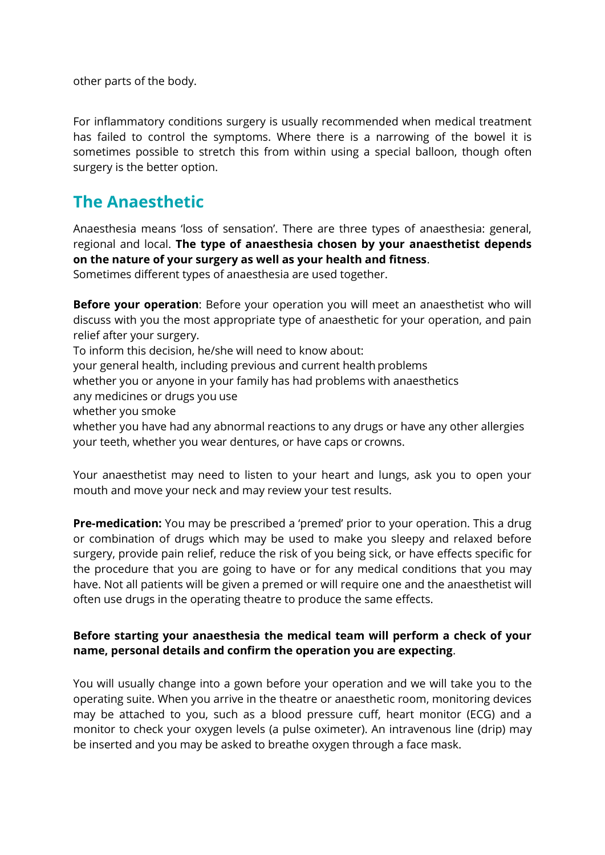other parts of the body.

For inflammatory conditions surgery is usually recommended when medical treatment has failed to control the symptoms. Where there is a narrowing of the bowel it is sometimes possible to stretch this from within using a special balloon, though often surgery is the better option.

# **The Anaesthetic**

Anaesthesia means 'loss of sensation'. There are three types of anaesthesia: general, regional and local. **The type of anaesthesia chosen by your anaesthetist depends on the nature of your surgery as well as your health and fitness**.

Sometimes different types of anaesthesia are used together.

**Before your operation**: Before your operation you will meet an anaesthetist who will discuss with you the most appropriate type of anaesthetic for your operation, and pain relief after your surgery.

To inform this decision, he/she will need to know about:

your general health, including previous and current health problems

whether you or anyone in your family has had problems with anaesthetics

any medicines or drugs you use

whether you smoke

whether you have had any abnormal reactions to any drugs or have any other allergies your teeth, whether you wear dentures, or have caps or crowns.

Your anaesthetist may need to listen to your heart and lungs, ask you to open your mouth and move your neck and may review your test results.

**Pre-medication:** You may be prescribed a 'premed' prior to your operation. This a drug or combination of drugs which may be used to make you sleepy and relaxed before surgery, provide pain relief, reduce the risk of you being sick, or have effects specific for the procedure that you are going to have or for any medical conditions that you may have. Not all patients will be given a premed or will require one and the anaesthetist will often use drugs in the operating theatre to produce the same effects.

# **Before starting your anaesthesia the medical team will perform a check of your name, personal details and confirm the operation you are expecting**.

You will usually change into a gown before your operation and we will take you to the operating suite. When you arrive in the theatre or anaesthetic room, monitoring devices may be attached to you, such as a blood pressure cuff, heart monitor (ECG) and a monitor to check your oxygen levels (a pulse oximeter). An intravenous line (drip) may be inserted and you may be asked to breathe oxygen through a face mask.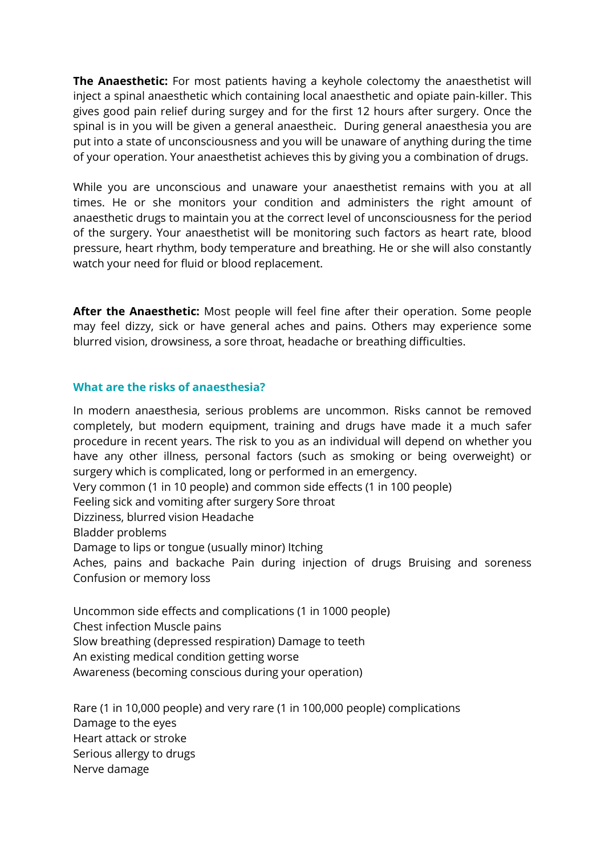**The Anaesthetic:** For most patients having a keyhole colectomy the anaesthetist will inject a spinal anaesthetic which containing local anaesthetic and opiate pain-killer. This gives good pain relief during surgey and for the first 12 hours after surgery. Once the spinal is in you will be given a general anaestheic. During general anaesthesia you are put into a state of unconsciousness and you will be unaware of anything during the time of your operation. Your anaesthetist achieves this by giving you a combination of drugs.

While you are unconscious and unaware your anaesthetist remains with you at all times. He or she monitors your condition and administers the right amount of anaesthetic drugs to maintain you at the correct level of unconsciousness for the period of the surgery. Your anaesthetist will be monitoring such factors as heart rate, blood pressure, heart rhythm, body temperature and breathing. He or she will also constantly watch your need for fluid or blood replacement.

**After the Anaesthetic:** Most people will feel fine after their operation. Some people may feel dizzy, sick or have general aches and pains. Others may experience some blurred vision, drowsiness, a sore throat, headache or breathing difficulties.

#### **What are the risks of anaesthesia?**

In modern anaesthesia, serious problems are uncommon. Risks cannot be removed completely, but modern equipment, training and drugs have made it a much safer procedure in recent years. The risk to you as an individual will depend on whether you have any other illness, personal factors (such as smoking or being overweight) or surgery which is complicated, long or performed in an emergency.

Very common (1 in 10 people) and common side effects (1 in 100 people)

Feeling sick and vomiting after surgery Sore throat

Dizziness, blurred vision Headache

Bladder problems

Damage to lips or tongue (usually minor) Itching

Aches, pains and backache Pain during injection of drugs Bruising and soreness Confusion or memory loss

Uncommon side effects and complications (1 in 1000 people)

Chest infection Muscle pains

Slow breathing (depressed respiration) Damage to teeth

An existing medical condition getting worse

Awareness (becoming conscious during your operation)

Rare (1 in 10,000 people) and very rare (1 in 100,000 people) complications Damage to the eyes Heart attack or stroke Serious allergy to drugs Nerve damage